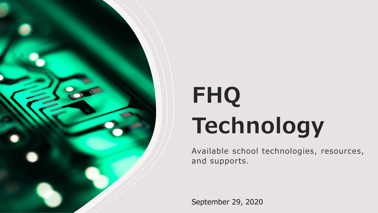

# **FHQ Technology**

Available school technologies, resources, and supports.

September 29, 2020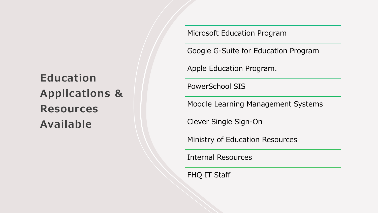### **Education Applications & Resources Available**

Microsoft Education Program

Google G-Suite for Education Program

Apple Education Program.

PowerSchool SIS

Moodle Learning Management Systems

Clever Single Sign-On

Ministry of Education Resources

Internal Resources

FHQ IT Staff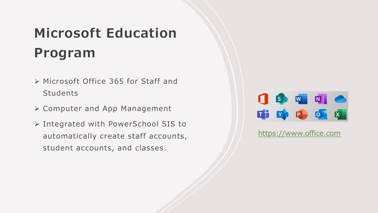# **Microsoft Education Program**

- Microsoft Office 365 for Staff and Students
- Computer and App Management
- Integrated with PowerSchool SIS to automatically create staff accounts, student accounts, and classes.



#### <https://www.office.com>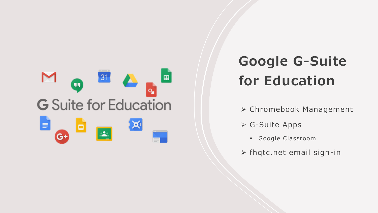

# **Google G-Suite for Education**

- Chromebook Management
- G-Suite Apps
	- Google Classroom
- $\triangleright$  fhqtc.net email sign-in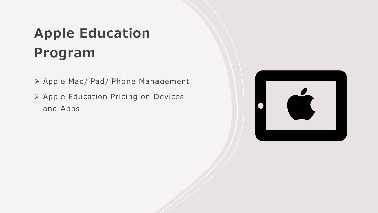# **Apple Education Program**

- Apple Mac /iPad/iPhone Management
- ▶ Apple Education Pricing on Devices and Apps

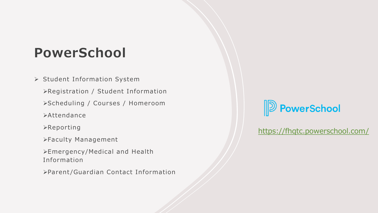### **PowerSchool**

- > Student Information System
	- Registration / Student Information
	- Scheduling / Courses / Homeroom
	- **Exacter**
	- Reporting
	- Faculty Management
	- Emergency/Medical and Health Information
	- Parent/Guardian Contact Information



[https://fhqtc.powerschool.com/](https://fhqtc.powerschool.com/teachers/pw.html)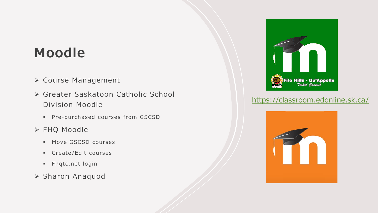### **Moodle**

- Course Management
- Greater Saskatoon Catholic School Division Moodle
	- **Pre-purchased courses from GSCSD**
- FHQ Moodle
	- **Move GSCSD courses**
	- Create/Edit courses
	- **Fhqtc.net login**
- Sharon Anaquod



#### [https://classroom.edonline.sk.ca/](https://classroom.edonline.sk.ca/login/index.php)

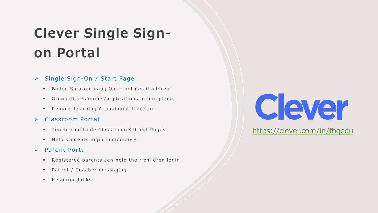# **Clever Single Signon Portal**

#### ▶ Single Sign-On / Start Page

- Badge Sign-on using fhqtc.net email address
- Group all resources/applications in one place.
- **Remote Learning Attendance Tracking**

#### Classroom Portal

- Teacher editable Classroom/Subject Pages
- Help students login immediately.

#### > Parent Portal

- Registered parents can help their children login.
- **Parent / Teacher messaging.**
- **Resource Links**



<https://clever.com/in/fhqedu>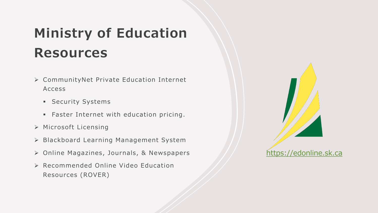# **Ministry of Education Resources**

- CommunityNet Private Education Internet Access
	- **Security Systems**
	- **Faster Internet with education pricing.**
- Microsoft Licensing
- ▶ Blackboard Learning Management System
- Online Magazines, Journals, & Newspapers
- Recommended Online Video Education Resources (ROVER)

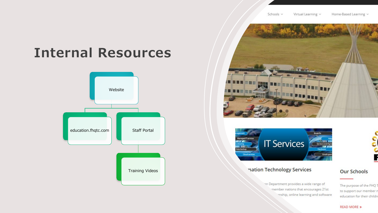### **Internal Resources**







nation Technology Services



#### **Our Schools**

The purpose of the FHQ 1

to support our member r

education for their childre

in Department provides a wide range of member nations that encourages 21st inship, online learning and software

**READ MORE »**